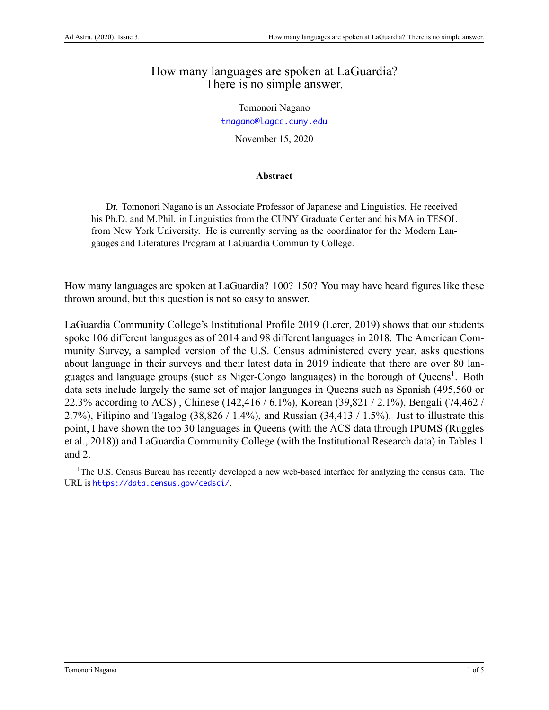## How many languages are spoken at LaGuardia? There is no simple answer.

Tomonori Nagano <tnagano@lagcc.cuny.edu>

November 15, 2020

## **Abstract**

Dr. Tomonori Nagano is an Associate Professor of Japanese and Linguistics. He received his Ph.D. and M.Phil. in Linguistics from the CUNY Graduate Center and his MA in TESOL from New York University. He is currently serving as the coordinator for the Modern Langauges and Literatures Program at LaGuardia Community College.

How many languages are spoken at LaGuardia? 100? 150? You may have heard figures like these thrown around, but this question is not so easy to answer.

LaGuardia Community College's Institutional Profile 2019([Lerer](#page-4-0), [2019\)](#page-4-0) shows that our students spoke 106 different languages as of 2014 and 98 different languages in 2018. The American Community Survey, a sampled version of the U.S. Census administered every year, asks questions about language in their surveys and their latest data in 2019 indicate that there are over 80 languages and language groups (such as Niger-Congo languages) in the borough of Queens<sup>1</sup>. Both data sets include largely the same set of major languages in Queens such as Spanish (495,560 or 22.3% according to ACS) , Chinese (142,416 / 6.1%), Korean (39,821 / 2.1%), Bengali (74,462 / 2.7%), Filipino and Tagalog  $(38,826 / 1.4\%)$ , and Russian  $(34,413 / 1.5\%)$ . Just to illustrate this point, I have shown the top 30 languages in Queens (with the ACS data through IPUMS([Ruggles](#page-4-1) [et al.,](#page-4-1) [2018\)](#page-4-1)) and LaGuardia Community College (with the Institutional Research data) in Tables 1 and 2.

<sup>&</sup>lt;sup>1</sup>The U.S. Census Bureau has recently developed a new web-based interface for analyzing the census data. The URL is <https://data.census.gov/cedsci/>.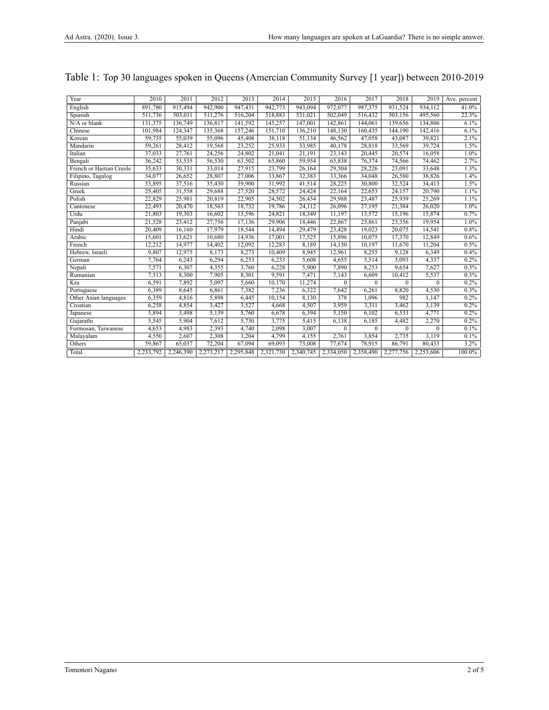| Year                     | 2010      | 2011      | 2012      | 2013      | 2014      | 2015      | 2016      | 2017      | 2018         | 2019      | Ave. percent |
|--------------------------|-----------|-----------|-----------|-----------|-----------|-----------|-----------|-----------|--------------|-----------|--------------|
| English                  | 891.780   | 915.494   | 942.900   | 947,431   | 942.773   | 943.094   | 972.077   | 987,375   | 931,524      | 934.112   | 41.0%        |
| Spanish                  | 511,736   | 503,011   | 511,276   | 516,204   | 518,883   | 531,021   | 502,049   | 516,432   | 503,156      | 495,560   | 22.3%        |
| $N/A$ or blank           | 131,375   | 136,749   | 136,817   | 141,592   | 145,257   | 147,001   | 142,861   | 144,061   | 139,656      | 134,806   | 6.1%         |
| Chinese                  | 101,984   | 124,347   | 135,368   | 157,246   | 151,710   | 136,210   | 148,130   | 160,435   | 144,190      | 142,416   | 6.1%         |
| Korean                   | 59,735    | 55,039    | 55,096    | 45,408    | 38,118    | 51,134    | 46,562    | 47,058    | 43,087       | 39,821    | 2.1%         |
| Mandarin                 | 59,261    | 28,412    | 19,568    | 23,252    | 25,933    | 33,985    | 40,178    | 28,818    | 33,569       | 39,724    | 1.5%         |
| Italian                  | 37,033    | 27,761    | 24,256    | 24,802    | 21,041    | 21,191    | 23,143    | 20,445    | 20,574       | 16,058    | 1.0%         |
| Bengali                  | 36,242    | 53,535    | 56,530    | 63,502    | 65,860    | 59,954    | 65,838    | 76,374    | 74,566       | 74,462    | 2.7%         |
| French or Haitian Creole | 35,633    | 30,331    | 33,014    | 27,915    | 23,799    | 26,164    | 29,504    | 28,226    | 23,091       | 33.648    | 1.3%         |
| Filipino, Tagalog        | 34,077    | 26,652    | 28,807    | 27,006    | 33,867    | 32,383    | 33,366    | 34,048    | 26,580       | 38,826    | 1.4%         |
| Russian                  | 33,895    | 37,516    | 35,430    | 39,900    | 31,992    | 41,514    | 28,225    | 30,800    | 32,524       | 34,413    | 1.5%         |
| Greek                    | 25,405    | 31,558    | 29,688    | 27,520    | 28,572    | 24,424    | 22,164    | 22,653    | 24,157       | 20,790    | 1.1%         |
| Polish                   | 22,829    | 25,981    | 20,819    | 22,905    | 24,502    | 26,434    | 29,988    | 23,487    | 25,939       | 25,269    | 1.1%         |
| Cantonese                | 22,493    | 20,470    | 18,563    | 18,732    | 19,786    | 24,112    | 26,096    | 27,195    | 21,384       | 26.020    | 1.0%         |
| Urdu                     | 21,803    | 19,303    | 16,602    | 13,596    | 24,821    | 18,349    | 11,197    | 13,572    | 15,196       | 15,874    | 0.7%         |
| Panjabi                  | 21.528    | 23,412    | 27,756    | 17.136    | 29,906    | 18,446    | 22,867    | 23,861    | 23,356       | 19,954    | 1.0%         |
| Hindi                    | 20,409    | 16,160    | 17,979    | 18,544    | 14,494    | 29,479    | 23,428    | 19,023    | 20,075       | 14,541    | 0.8%         |
| Arabic                   | 15,601    | 13,621    | 10,680    | 14,936    | 17,001    | 17,525    | 15,896    | 10,075    | 17,370       | 12,849    | 0.6%         |
| French                   | 12,212    | 14,977    | 14,402    | 12,092    | 12,283    | 8,189     | 14,130    | 10,197    | 11,670       | 11,204    | 0.5%         |
| Hebrew, Israeli          | 9,807     | 12,975    | 8,173     | 8,273     | 10,409    | 8,945     | 12,961    | 8,255     | 9,128        | 6,349     | 0.4%         |
| German                   | 7,764     | 6,243     | 6,294     | 6,253     | 6,233     | 5,608     | 4,655     | 5,514     | 3,093        | 4,337     | 0.2%         |
| Nepali                   | 7,571     | 6,307     | 4,355     | 3,760     | 6,228     | 5,900     | 7,890     | 8,253     | 9,654        | 7,627     | 0.3%         |
| Rumanian                 | 7,513     | 8,300     | 7,905     | 8,301     | 9,591     | 7,471     | 7,143     | 6,609     | 10,412       | 5,537     | 0.3%         |
| Kru                      | 6,591     | 7,892     | 5,097     | 5,660     | 10,170    | 11,274    | $\Omega$  | $\Omega$  | $\Omega$     | $\Omega$  | 0.2%         |
| Portuguese               | 6,389     | 8,645     | 6,861     | 7,382     | 7,236     | 6,322     | 7,642     | 6,261     | 8,820        | 4,530     | 0.3%         |
| Other Asian languages    | 6,359     | 4,816     | 5,898     | 6,445     | 10,154    | 8,130     | 378       | 1,096     | 982          | 1,147     | 0.2%         |
| Croatian                 | 6,258     | 4,854     | 3,427     | 3,527     | 4,668     | 4,507     | 3,959     | 3,311     | 3,462        | 3,139     | 0.2%         |
| Japanese                 | 5.894     | 3,498     | 5,139     | 5,760     | 6.678     | 6,394     | 5,150     | 6,102     | 6,533        | 4,771     | 0.2%         |
| Gujarathi                | 5,545     | 5,904     | 7,612     | 5,730     | 3,775     | 5,415     | 6,138     | 6,185     | 4,482        | 2,270     | 0.2%         |
| Formosan, Taiwanese      | 4,653     | 4,983     | 2,393     | 4,740     | 2,098     | 3,007     | $\Omega$  | $\Omega$  | $\mathbf{0}$ | $\theta$  | 0.1%         |
| Malayalam                | 4,550     | 2,607     | 2,308     | 3,204     | 4.799     | 4,155     | 2,761     | 3,854     | 2,735        | 3.119     | 0.1%         |
| Others                   | 59,867    | 65,037    | 72,204    | 67,094    | 69,093    | 73,008    | 77,674    | 78,915    | 86,791       | 80,433    | 3.2%         |
| Total                    | 2.233.792 | 2,246,390 | 2,273,217 | 2,295,848 | 2,321,730 | 2,340,745 | 2.334.050 | 2.358.490 | 2,277,756    | 2,253,606 | $100.0\%$    |

## Table 1: Top 30 languages spoken in Queens (Amercian Community Survey [1 year]) between 2010-2019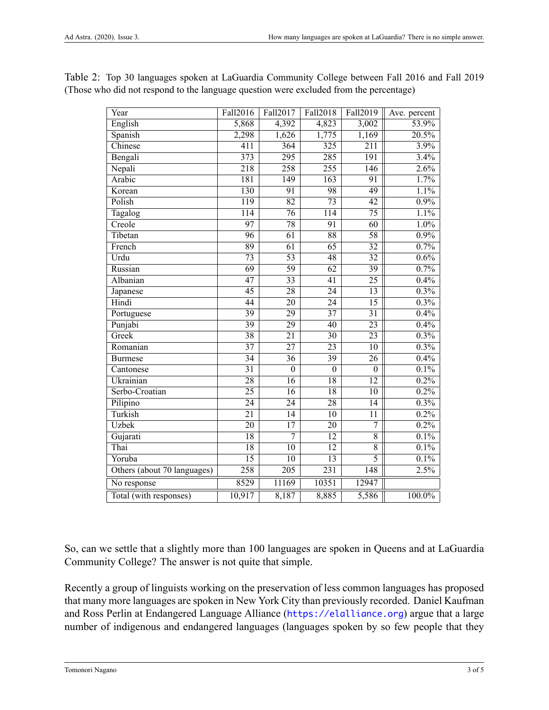| Year                        | Fall2016         | Fall2017         | Fall2018         | Fall2019         | Ave. percent          |
|-----------------------------|------------------|------------------|------------------|------------------|-----------------------|
| English                     | 5,868            | 4,392            | 4,823            | 3,002            | 53.9%                 |
| Spanish                     | 2,298            | 1,626            | 1,775            | 1,169            | $\overline{20.5\%}$   |
| Chinese                     | 411              | 364              | $\overline{325}$ | $\overline{211}$ | 3.9%                  |
| Bengali                     | 373              | $\overline{295}$ | $\overline{285}$ | $\overline{191}$ | 3.4%                  |
| Nepali                      | $\overline{218}$ | $\overline{258}$ | $\overline{255}$ | 146              | 2.6%                  |
| Arabic                      | 181              | 149              | 163              | 91               | $\frac{1.7\%}{2.7\%}$ |
| Korean                      | 130              | 91               | 98               | 49               | 1.1%                  |
| Polish                      | $\overline{119}$ | 82               | $\overline{73}$  | $\overline{42}$  | 0.9%                  |
| Tagalog                     | $\overline{114}$ | $\overline{76}$  | $\overline{114}$ | $\overline{75}$  | 1.1%                  |
| Creole                      | $\overline{97}$  | $\overline{78}$  | 91               | $\overline{60}$  | 1.0%                  |
| Tibetan                     | $\overline{96}$  | $\overline{61}$  | $\overline{88}$  | $\overline{58}$  | $0.9\%$               |
| French                      | 89               | $\overline{61}$  | $\overline{65}$  | $\overline{32}$  | 0.7%                  |
| Urdu                        | $\overline{73}$  | 53               | 48               | 32               | 0.6%                  |
| Russian                     | $\overline{69}$  | $\overline{59}$  | $\overline{62}$  | $\overline{39}$  | 0.7%                  |
| Albanian                    | $\overline{47}$  | $\overline{33}$  | $\overline{41}$  | $\overline{25}$  | 0.4%                  |
| Japanese                    | $\overline{45}$  | $\overline{28}$  | 24               | $\overline{13}$  | $0.3\%$               |
| Hindi                       | 44               | $\overline{20}$  | 24               | $\overline{15}$  | 0.3%                  |
| Portuguese                  | $\overline{39}$  | 29               | $\overline{37}$  | $\overline{31}$  | 0.4%                  |
| Punjabi                     | $\overline{39}$  | $\overline{29}$  | 40               | $\overline{23}$  | 0.4%                  |
| Greek                       | $\overline{38}$  | $\overline{21}$  | $\overline{30}$  | $\overline{23}$  | $0.3\%$               |
| Romanian                    | $\overline{37}$  | $\overline{27}$  | $\overline{23}$  | $\overline{10}$  | $0.3\%$               |
| <b>Burmese</b>              | 34               | $\overline{36}$  | 39               | $\overline{26}$  | 0.4%                  |
| Cantonese                   | $\overline{31}$  | $\overline{0}$   | $\overline{0}$   | $\overline{0}$   | 0.1%                  |
| Ukrainian                   | $\overline{28}$  | $\overline{16}$  | $\overline{18}$  | $\overline{12}$  | 0.2%                  |
| Serbo-Croatian              | $\overline{25}$  | $\overline{16}$  | $\overline{18}$  | $\overline{10}$  | $0.2\%$               |
| Pilipino                    | $\overline{24}$  | $\overline{24}$  | $\overline{28}$  | $\overline{14}$  | $0.3\%$               |
| Turkish                     | 21               | 14               | 10               | 11               | 0.2%                  |
| <b>Uzbek</b>                | $\overline{20}$  | $\overline{17}$  | 20               | $\overline{7}$   | $0.2\%$               |
| Gujarati                    | $\overline{18}$  | 7                | $\overline{12}$  | $\overline{8}$   | 0.1%                  |
| Thai                        | $\overline{18}$  | $\overline{10}$  | $\overline{12}$  | $\overline{8}$   | 0.1%                  |
| Yoruba                      | $\overline{15}$  | $\overline{10}$  | $\overline{13}$  | 5                | 0.1%                  |
| Others (about 70 languages) | 258              | $\overline{205}$ | $\overline{231}$ | $\overline{148}$ | 2.5%                  |
| No response                 | 8529             | 11169            | 10351            | 12947            |                       |
| Total (with responses)      | 10,917           | 8,187            | 8,885            | 5,586            | $100.0\%$             |

Table 2: Top 30 languages spoken at LaGuardia Community College between Fall 2016 and Fall 2019 (Those who did not respond to the language question were excluded from the percentage)

So, can we settle that a slightly more than 100 languages are spoken in Queens and at LaGuardia Community College? The answer is not quite that simple.

Recently a group of linguists working on the preservation of less common languages has proposed that many more languages are spoken in New York City than previously recorded. Daniel Kaufman and Ross Perlin at Endangered Language Alliance (<https://elalliance.org>) argue that a large number of indigenous and endangered languages (languages spoken by so few people that they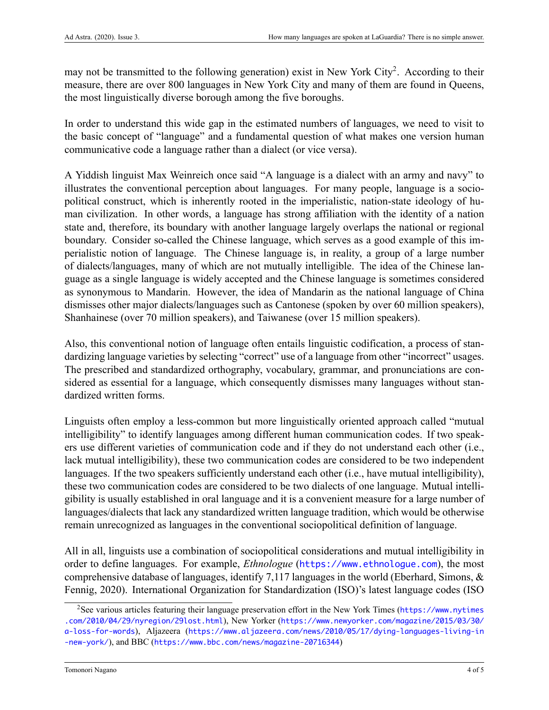may not be transmitted to the following generation) exist in New York City<sup>2</sup>. According to their measure, there are over 800 languages in New York City and many of them are found in Queens, the most linguistically diverse borough among the five boroughs.

In order to understand this wide gap in the estimated numbers of languages, we need to visit to the basic concept of "language" and a fundamental question of what makes one version human communicative code a language rather than a dialect (or vice versa).

A Yiddish linguist Max Weinreich once said "A language is a dialect with an army and navy" to illustrates the conventional perception about languages. For many people, language is a sociopolitical construct, which is inherently rooted in the imperialistic, nation-state ideology of human civilization. In other words, a language has strong affiliation with the identity of a nation state and, therefore, its boundary with another language largely overlaps the national or regional boundary. Consider so-called the Chinese language, which serves as a good example of this imperialistic notion of language. The Chinese language is, in reality, a group of a large number of dialects/languages, many of which are not mutually intelligible. The idea of the Chinese language as a single language is widely accepted and the Chinese language is sometimes considered as synonymous to Mandarin. However, the idea of Mandarin as the national language of China dismisses other major dialects/languages such as Cantonese (spoken by over 60 million speakers), Shanhainese (over 70 million speakers), and Taiwanese (over 15 million speakers).

Also, this conventional notion of language often entails linguistic codification, a process of standardizing language varieties by selecting "correct" use of a language from other "incorrect" usages. The prescribed and standardized orthography, vocabulary, grammar, and pronunciations are considered as essential for a language, which consequently dismisses many languages without standardized written forms.

Linguists often employ a less-common but more linguistically oriented approach called "mutual intelligibility" to identify languages among different human communication codes. If two speakers use different varieties of communication code and if they do not understand each other (i.e., lack mutual intelligibility), these two communication codes are considered to be two independent languages. If the two speakers sufficiently understand each other (i.e., have mutual intelligibility), these two communication codes are considered to be two dialects of one language. Mutual intelligibility is usually established in oral language and it is a convenient measure for a large number of languages/dialects that lack any standardized written language tradition, which would be otherwise remain unrecognized as languages in the conventional sociopolitical definition of language.

All in all, linguists use a combination of sociopolitical considerations and mutual intelligibility in order to define languages. For example, *Ethnologue* (<https://www.ethnologue.com>), the most comprehensive database of languages, identify 7,117 languages in the world([Eberhard, Simons, &](#page-4-3) [Fennig](#page-4-3), [2020](#page-4-3)). International Organization for Standardization (ISO)'s latest language codes (ISO

<sup>2</sup>See various articles featuring their language preservation effort in the New York Times ([https://www.nytimes](https://www.nytimes.com/2010/04/29/nyregion/29lost.html) [.com/2010/04/29/nyregion/29lost.html](https://www.nytimes.com/2010/04/29/nyregion/29lost.html)), New Yorker ([https://www.newyorker.com/magazine/2015/03/30/](https://www.newyorker.com/magazine/2015/03/30/a-loss-for-words) [a-loss-for-words](https://www.newyorker.com/magazine/2015/03/30/a-loss-for-words)), Aljazeera ([https://www.aljazeera.com/news/2010/05/17/dying-languages-living-in](https://www.aljazeera.com/news/2010/05/17/dying-languages-living-in-new-york/) [-new-york/](https://www.aljazeera.com/news/2010/05/17/dying-languages-living-in-new-york/)), and BBC (<https://www.bbc.com/news/magazine-20716344>)